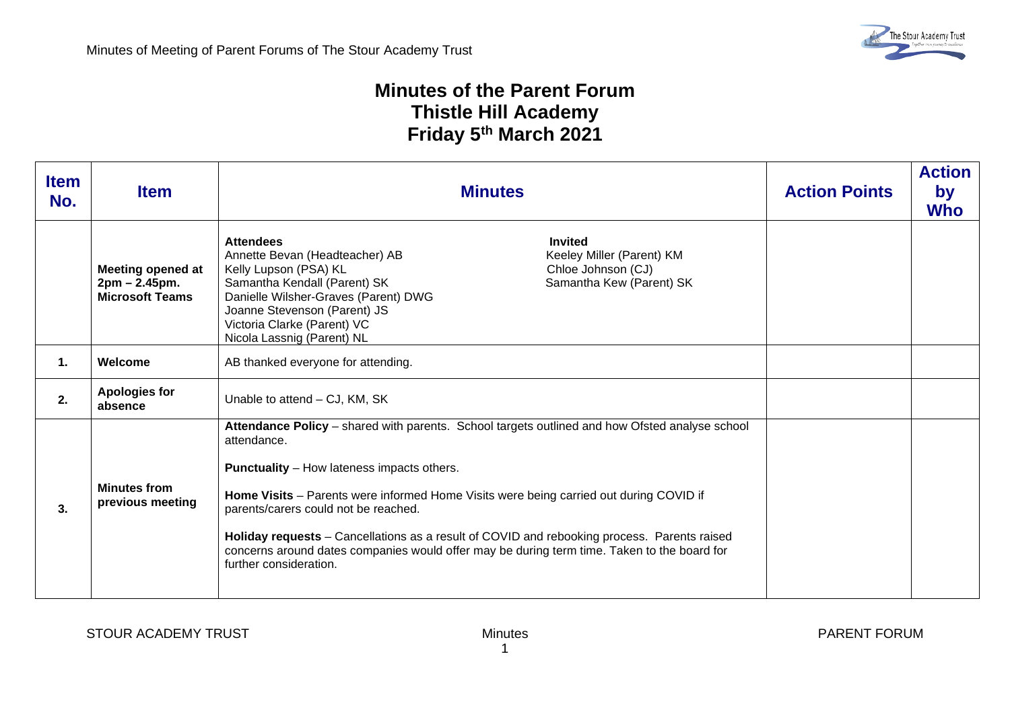## **Minutes of the Parent Forum Thistle Hill Academy Friday 5th March 2021**

| <b>Item</b><br>No. | <b>Item</b>                                                         | <b>Minutes</b>                                                                                                                                                                                                                                                                                                                                                                                                                                                                                                               | <b>Action Points</b> | <b>Action</b><br>by<br><b>Who</b> |
|--------------------|---------------------------------------------------------------------|------------------------------------------------------------------------------------------------------------------------------------------------------------------------------------------------------------------------------------------------------------------------------------------------------------------------------------------------------------------------------------------------------------------------------------------------------------------------------------------------------------------------------|----------------------|-----------------------------------|
|                    | <b>Meeting opened at</b><br>2pm – 2.45pm.<br><b>Microsoft Teams</b> | <b>Attendees</b><br><b>Invited</b><br>Annette Bevan (Headteacher) AB<br>Keeley Miller (Parent) KM<br>Kelly Lupson (PSA) KL<br>Chloe Johnson (CJ)<br>Samantha Kendall (Parent) SK<br>Samantha Kew (Parent) SK<br>Danielle Wilsher-Graves (Parent) DWG<br>Joanne Stevenson (Parent) JS<br>Victoria Clarke (Parent) VC<br>Nicola Lassnig (Parent) NL                                                                                                                                                                            |                      |                                   |
| 1.                 | Welcome                                                             | AB thanked everyone for attending.                                                                                                                                                                                                                                                                                                                                                                                                                                                                                           |                      |                                   |
| 2.                 | <b>Apologies for</b><br>absence                                     | Unable to attend – CJ, KM, SK                                                                                                                                                                                                                                                                                                                                                                                                                                                                                                |                      |                                   |
| 3.                 | <b>Minutes from</b><br>previous meeting                             | Attendance Policy - shared with parents. School targets outlined and how Ofsted analyse school<br>attendance.<br><b>Punctuality</b> – How lateness impacts others.<br>Home Visits - Parents were informed Home Visits were being carried out during COVID if<br>parents/carers could not be reached.<br>Holiday requests - Cancellations as a result of COVID and rebooking process. Parents raised<br>concerns around dates companies would offer may be during term time. Taken to the board for<br>further consideration. |                      |                                   |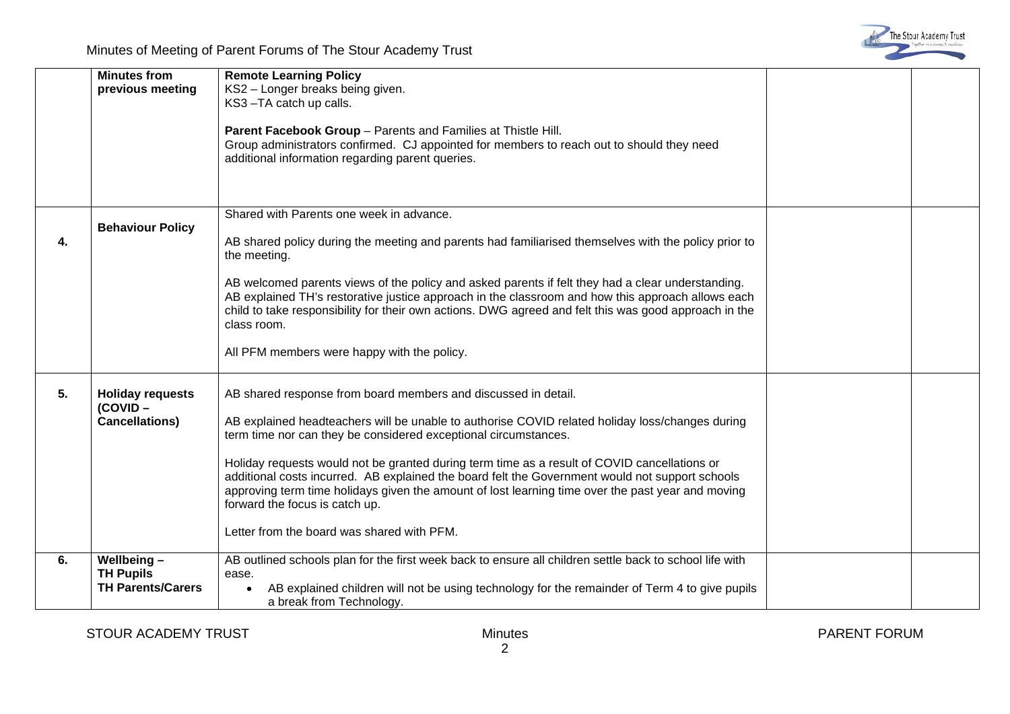

|    | <b>Minutes from</b><br>previous meeting                     | <b>Remote Learning Policy</b><br>KS2 - Longer breaks being given.<br>KS3-TA catch up calls.<br>Parent Facebook Group - Parents and Families at Thistle Hill.<br>Group administrators confirmed. CJ appointed for members to reach out to should they need<br>additional information regarding parent queries.                                                                                                                                                                                                                                                                                                                |  |
|----|-------------------------------------------------------------|------------------------------------------------------------------------------------------------------------------------------------------------------------------------------------------------------------------------------------------------------------------------------------------------------------------------------------------------------------------------------------------------------------------------------------------------------------------------------------------------------------------------------------------------------------------------------------------------------------------------------|--|
| 4. | <b>Behaviour Policy</b>                                     | Shared with Parents one week in advance.<br>AB shared policy during the meeting and parents had familiarised themselves with the policy prior to<br>the meeting.<br>AB welcomed parents views of the policy and asked parents if felt they had a clear understanding.<br>AB explained TH's restorative justice approach in the classroom and how this approach allows each<br>child to take responsibility for their own actions. DWG agreed and felt this was good approach in the<br>class room.<br>All PFM members were happy with the policy.                                                                            |  |
| 5. | <b>Holiday requests</b><br>(COVID-<br><b>Cancellations)</b> | AB shared response from board members and discussed in detail.<br>AB explained headteachers will be unable to authorise COVID related holiday loss/changes during<br>term time nor can they be considered exceptional circumstances.<br>Holiday requests would not be granted during term time as a result of COVID cancellations or<br>additional costs incurred. AB explained the board felt the Government would not support schools<br>approving term time holidays given the amount of lost learning time over the past year and moving<br>forward the focus is catch up.<br>Letter from the board was shared with PFM. |  |
| 6. | Wellbeing-<br><b>TH Pupils</b><br><b>TH Parents/Carers</b>  | AB outlined schools plan for the first week back to ensure all children settle back to school life with<br>ease.<br>AB explained children will not be using technology for the remainder of Term 4 to give pupils<br>a break from Technology.                                                                                                                                                                                                                                                                                                                                                                                |  |